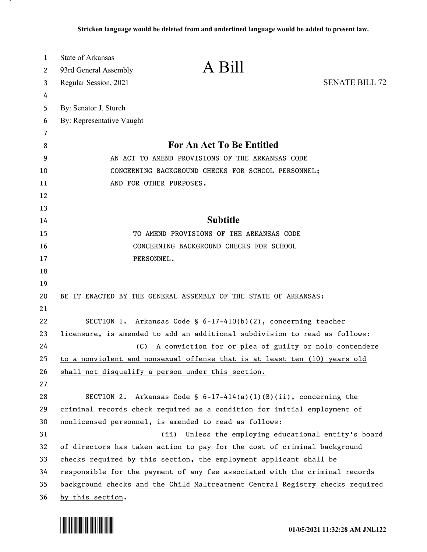| $\mathbf{1}$ | <b>State of Arkansas</b><br>A Bill                                                                                                         |                                                                             |  |
|--------------|--------------------------------------------------------------------------------------------------------------------------------------------|-----------------------------------------------------------------------------|--|
| 2            | 93rd General Assembly                                                                                                                      |                                                                             |  |
| 3            | Regular Session, 2021                                                                                                                      | <b>SENATE BILL 72</b>                                                       |  |
| 4            |                                                                                                                                            |                                                                             |  |
| 5            | By: Senator J. Sturch                                                                                                                      |                                                                             |  |
| 6            | By: Representative Vaught                                                                                                                  |                                                                             |  |
| 7            |                                                                                                                                            |                                                                             |  |
| 8            | For An Act To Be Entitled                                                                                                                  |                                                                             |  |
| 9            | AN ACT TO AMEND PROVISIONS OF THE ARKANSAS CODE                                                                                            |                                                                             |  |
| 10           | CONCERNING BACKGROUND CHECKS FOR SCHOOL PERSONNEL;                                                                                         |                                                                             |  |
| 11           | AND FOR OTHER PURPOSES.                                                                                                                    |                                                                             |  |
| 12           |                                                                                                                                            |                                                                             |  |
| 13           | <b>Subtitle</b>                                                                                                                            |                                                                             |  |
| 14           |                                                                                                                                            |                                                                             |  |
| 15           | TO AMEND PROVISIONS OF THE ARKANSAS CODE                                                                                                   |                                                                             |  |
| 16           | CONCERNING BACKGROUND CHECKS FOR SCHOOL                                                                                                    |                                                                             |  |
| 17           | PERSONNEL.                                                                                                                                 |                                                                             |  |
| 18           |                                                                                                                                            |                                                                             |  |
| 19<br>20     | BE IT ENACTED BY THE GENERAL ASSEMBLY OF THE STATE OF ARKANSAS:                                                                            |                                                                             |  |
| 21           |                                                                                                                                            |                                                                             |  |
| 22           | SECTION 1. Arkansas Code § $6-17-410(b)(2)$ , concerning teacher                                                                           |                                                                             |  |
| 23           |                                                                                                                                            |                                                                             |  |
| 24           | licensure, is amended to add an additional subdivision to read as follows:<br>A conviction for or plea of guilty or nolo contendere<br>(C) |                                                                             |  |
| 25           | to a nonviolent and nonsexual offense that is at least ten (10) years old                                                                  |                                                                             |  |
| 26           | shall not disqualify a person under this section.                                                                                          |                                                                             |  |
| 27           |                                                                                                                                            |                                                                             |  |
| 28           | SECTION 2. Arkansas Code § $6-17-414(a)(1)(B)(ii)$ , concerning the                                                                        |                                                                             |  |
| 29           | criminal records check required as a condition for initial employment of                                                                   |                                                                             |  |
| 30           | nonlicensed personnel, is amended to read as follows:                                                                                      |                                                                             |  |
| 31           |                                                                                                                                            | (ii) Unless the employing educational entity's board                        |  |
| 32           | of directors has taken action to pay for the cost of criminal background                                                                   |                                                                             |  |
| 33           | checks required by this section, the employment applicant shall be                                                                         |                                                                             |  |
| 34           |                                                                                                                                            | responsible for the payment of any fee associated with the criminal records |  |
| 35           | background checks and the Child Maltreatment Central Registry checks required                                                              |                                                                             |  |
| 36           | by this section.                                                                                                                           |                                                                             |  |

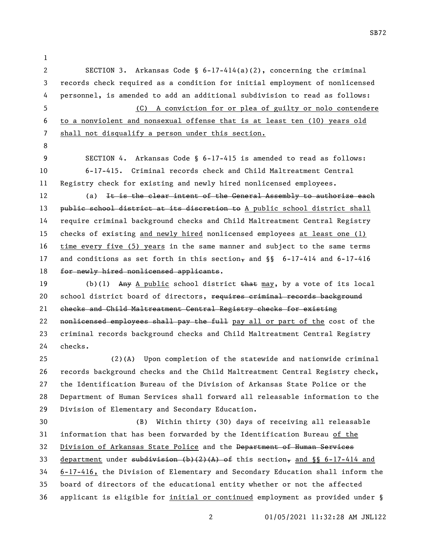- SECTION 3. Arkansas Code § 6-17-414(a)(2), concerning the criminal records check required as a condition for initial employment of nonlicensed personnel, is amended to add an additional subdivision to read as follows: (C) A conviction for or plea of guilty or nolo contendere to a nonviolent and nonsexual offense that is at least ten (10) years old shall not disqualify a person under this section.
- 

 SECTION 4. Arkansas Code § 6-17-415 is amended to read as follows: 6-17-415. Criminal records check and Child Maltreatment Central Registry check for existing and newly hired nonlicensed employees.

12 (a) It is the clear intent of the General Assembly to authorize each 13 public school district at its discretion to A public school district shall require criminal background checks and Child Maltreatment Central Registry checks of existing and newly hired nonlicensed employees at least one (1) time every five (5) years in the same manner and subject to the same terms 17 and conditions as set forth in this section, and  $\S$  6-17-414 and 6-17-416 18 for newly hired nonlicensed applicants.

19 (b)(1) Any A public school district that may, by a vote of its local 20 school district board of directors, requires criminal records background checks and Child Maltreatment Central Registry checks for existing 22 nonlicensed employees shall pay the full pay all or part of the cost of the criminal records background checks and Child Maltreatment Central Registry checks.

 (2)(A) Upon completion of the statewide and nationwide criminal records background checks and the Child Maltreatment Central Registry check, the Identification Bureau of the Division of Arkansas State Police or the Department of Human Services shall forward all releasable information to the Division of Elementary and Secondary Education.

 (B) Within thirty (30) days of receiving all releasable information that has been forwarded by the Identification Bureau of the Division of Arkansas State Police and the Department of Human Services 33 department under subdivision  $(b)(2)$   $(A)$  of this section, and §§ 6-17-414 and 6-17-416, the Division of Elementary and Secondary Education shall inform the board of directors of the educational entity whether or not the affected applicant is eligible for initial or continued employment as provided under §